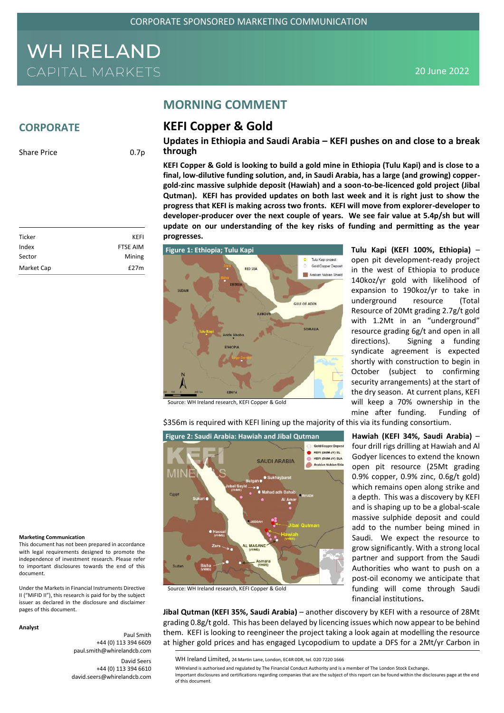**MORNING COMMENT**

**KEFI Copper & Gold**

## WH IRELAND **CAPITAL MARKETS**

### **CORPORATE**

Share Price 0.7p

### **Updates in Ethiopia and Saudi Arabia – KEFI pushes on and close to a break through**

**KEFI Copper & Gold is looking to build a gold mine in Ethiopia (Tulu Kapi) and is close to a final, low-dilutive funding solution, and, in Saudi Arabia, has a large (and growing) coppergold-zinc massive sulphide deposit (Hawiah) and a soon-to-be-licenced gold project (Jibal Qutman). KEFI has provided updates on both last week and it is right just to show the progress that KEFI is making across two fronts. KEFI will move from explorer-developer to developer-producer over the next couple of years. We see fair value at 5.4p/sh but will update on our understanding of the key risks of funding and permitting as the year progresses.**



Source: WH Ireland research, KEFI Copper & Gold

\$356m is required with KEFI lining up the majority of this via its funding consortium.



Source: WH Ireland research, KEFI Copper & Gold

security arrangements) at the start of the dry season. At current plans, KEFI will keep a 70% ownership in the mine after funding. Funding of **Hawiah (KEFI 34%, Saudi Arabia)** – four drill rigs drilling at Hawiah and Al Godyer licences to extend the known open pit resource (25Mt grading 0.9% copper, 0.9% zinc, 0.6g/t gold) which remains open along strike and a depth. This was a discovery by KEFI and is shaping up to be a global-scale massive sulphide deposit and could add to the number being mined in Saudi. We expect the resource to grow significantly. With a strong local partner and support from the Saudi

Authorities who want to push on a post-oil economy we anticipate that

**Tulu Kapi (KEFI 100%, Ethiopia)** – open pit development-ready project in the west of Ethiopia to produce 140koz/yr gold with likelihood of expansion to 190koz/yr to take in underground resource (Total Resource of 20Mt grading 2.7g/t gold with 1.2Mt in an "underground" resource grading 6g/t and open in all directions). Signing a funding syndicate agreement is expected shortly with construction to begin in October (subject to confirming

### funding will come through Saudi financial institutions**.**

**Jibal Qutman (KEFI 35%, Saudi Arabia)** – another discovery by KEFI with a resource of 28Mt grading 0.8g/t gold. This has been delayed by licencing issues which now appear to be behind them. KEFI is looking to reengineer the project taking a look again at modelling the resource at higher gold prices and has engaged Lycopodium to update a DFS for a 2Mt/yr Carbon in

WHIreland is authorised and regulated by The Financial Conduct Authority and is a member of The London Stock Exchange. Important disclosures and certifications regarding companies that are the subject of this report can be found within the disclosures page at the end of this document.

| Ticker     | KEFI            |
|------------|-----------------|
| Index      | <b>FTSE AIM</b> |
| Sector     | Mining          |
| Market Cap | E27m            |

#### **Marketing Communication**

This document has not been prepared in accordance with legal requirements designed to promote the independence of investment research. Please refer to important disclosures towards the end of this document.

Under the Markets in Financial Instruments Directive II ("MiFID II"), this research is paid for by the subject issuer as declared in the disclosure and disclaimer pages of this document.

#### **Analyst**

+44 (0) 113 394 6609 paul.smith@whirelandcb.com

Paul Smith

David Seers +44 (0) 113 394 6610 david.seers@whirelandcb.com

WH Ireland Limited, 24 Martin Lane, London, EC4R 0DR, tel. 020 7220 1666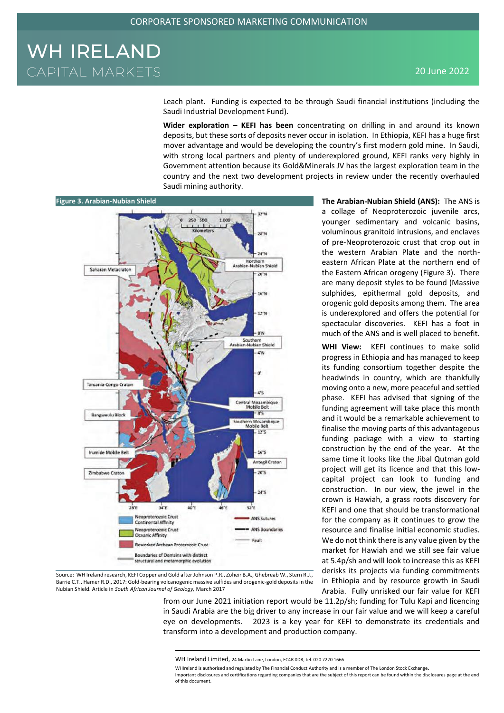Leach plant. Funding is expected to be through Saudi financial institutions (including the Saudi Industrial Development Fund).

**Wider exploration – KEFI has been** concentrating on drilling in and around its known deposits, but these sorts of deposits never occur in isolation. In Ethiopia, KEFI has a huge first mover advantage and would be developing the country's first modern gold mine. In Saudi, with strong local partners and plenty of underexplored ground, KEFI ranks very highly in Government attention because its Gold&Minerals JV has the largest exploration team in the country and the next two development projects in review under the recently overhauled Saudi mining authority.



Source: WH Ireland research, KEFI Copper and Gold after Johnson P.R., Zoheir B.A., Ghebreab W., Stern R.J., Barrie C.T., Hamer R.D., 2017: Gold-bearing volcanogenic massive sulfides and orogenic-gold deposits in the Nubian Shield. Article in *South African Journal of Geology,* March 2017

**The Arabian-Nubian Shield (ANS):** The ANS is a collage of Neoproterozoic juvenile arcs, younger sedimentary and volcanic basins, voluminous granitoid intrusions, and enclaves of pre-Neoproterozoic crust that crop out in the western Arabian Plate and the northeastern African Plate at the northern end of the Eastern African orogeny (Figure 3). There are many deposit styles to be found (Massive sulphides, epithermal gold deposits, and orogenic gold deposits among them. The area is underexplored and offers the potential for spectacular discoveries. KEFI has a foot in much of the ANS and is well placed to benefit.

**WHI View:** KEFI continues to make solid progress in Ethiopia and has managed to keep its funding consortium together despite the headwinds in country, which are thankfully moving onto a new, more peaceful and settled phase. KEFI has advised that signing of the funding agreement will take place this month and it would be a remarkable achievement to finalise the moving parts of this advantageous funding package with a view to starting construction by the end of the year. At the same time it looks like the Jibal Qutman gold project will get its licence and that this lowcapital project can look to funding and construction. In our view, the jewel in the crown is Hawiah, a grass roots discovery for KEFI and one that should be transformational for the company as it continues to grow the resource and finalise initial economic studies. We do not think there is any value given by the market for Hawiah and we still see fair value at 5.4p/sh and will look to increase this as KEFI derisks its projects via funding commitments in Ethiopia and by resource growth in Saudi Arabia. Fully unrisked our fair value for KEFI

from our June 2021 initiation report would be 11.2p/sh; funding for Tulu Kapi and licencing in Saudi Arabia are the big driver to any increase in our fair value and we will keep a careful eye on developments. 2023 is a key year for KEFI to demonstrate its credentials and transform into a development and production company.

WHIreland is authorised and regulated by The Financial Conduct Authority and is a member of The London Stock Exchange.

Important disclosures and certifications regarding companies that are the subject of this report can be found within the disclosures page at the end of this document.

WH Ireland Limited, 24 Martin Lane, London, EC4R 0DR, tel. 020 7220 1666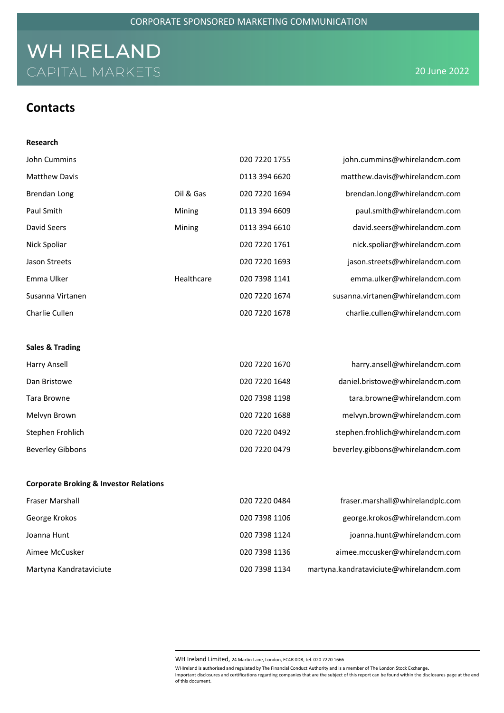### **Contacts**

| Research                                          |            |               |                                         |
|---------------------------------------------------|------------|---------------|-----------------------------------------|
| John Cummins                                      |            | 020 7220 1755 | john.cummins@whirelandcm.com            |
| <b>Matthew Davis</b>                              |            | 0113 394 6620 | matthew.davis@whirelandcm.com           |
| Brendan Long                                      | Oil & Gas  | 020 7220 1694 | brendan.long@whirelandcm.com            |
| Paul Smith                                        | Mining     | 0113 394 6609 | paul.smith@whirelandcm.com              |
| David Seers                                       | Mining     | 0113 394 6610 | david.seers@whirelandcm.com             |
| Nick Spoliar                                      |            | 020 7220 1761 | nick.spoliar@whirelandcm.com            |
| Jason Streets                                     |            | 020 7220 1693 | jason.streets@whirelandcm.com           |
| Emma Ulker                                        | Healthcare | 020 7398 1141 | emma.ulker@whirelandcm.com              |
| Susanna Virtanen                                  |            | 020 7220 1674 | susanna.virtanen@whirelandcm.com        |
| Charlie Cullen                                    |            | 020 7220 1678 | charlie.cullen@whirelandcm.com          |
|                                                   |            |               |                                         |
| <b>Sales &amp; Trading</b>                        |            |               |                                         |
| Harry Ansell                                      |            | 020 7220 1670 | harry.ansell@whirelandcm.com            |
| Dan Bristowe                                      |            | 020 7220 1648 | daniel.bristowe@whirelandcm.com         |
| Tara Browne                                       |            | 020 7398 1198 | tara.browne@whirelandcm.com             |
| Melvyn Brown                                      |            | 020 7220 1688 | melvyn.brown@whirelandcm.com            |
| Stephen Frohlich                                  |            | 020 7220 0492 | stephen.frohlich@whirelandcm.com        |
| <b>Beverley Gibbons</b>                           |            | 020 7220 0479 | beverley.gibbons@whirelandcm.com        |
|                                                   |            |               |                                         |
| <b>Corporate Broking &amp; Investor Relations</b> |            |               |                                         |
| Fraser Marshall                                   |            | 020 7220 0484 | fraser.marshall@whirelandplc.com        |
| George Krokos                                     |            | 020 7398 1106 | george.krokos@whirelandcm.com           |
| Joanna Hunt                                       |            | 020 7398 1124 | joanna.hunt@whirelandcm.com             |
| Aimee McCusker                                    |            | 020 7398 1136 | aimee.mccusker@whirelandcm.com          |
| Martyna Kandrataviciute                           |            | 020 7398 1134 | martyna.kandrataviciute@whirelandcm.com |

WH Ireland Limited, 24 Martin Lane, London, EC4R 0DR, tel. 020 7220 1666

WHIreland is authorised and regulated by The Financial Conduct Authority and is a member of The London Stock Exchange. Important disclosures and certifications regarding companies that are the subject of this report can be found within the disclosures page at the end of this document.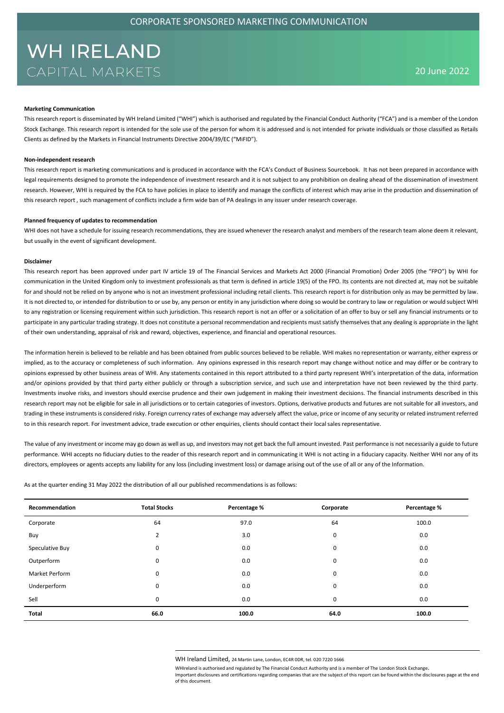### **Marketing Communication**

This research report is disseminated by WH Ireland Limited ("WHI") which is authorised and regulated by the Financial Conduct Authority ("FCA") and is a member of the London Stock Exchange. This research report is intended for the sole use of the person for whom it is addressed and is not intended for private individuals or those classified as Retails Clients as defined by the Markets in Financial Instruments Directive 2004/39/EC ("MiFID").

#### **Non-independent research**

This research report is marketing communications and is produced in accordance with the FCA's Conduct of Business Sourcebook. It has not been prepared in accordance with legal requirements designed to promote the independence of investment research and it is not subject to any prohibition on dealing ahead of the dissemination of investment research. However, WHI is required by the FCA to have policies in place to identify and manage the conflicts of interest which may arise in the production and dissemination of this research report , such management of conflicts include a firm wide ban of PA dealings in any issuer under research coverage.

#### **Planned frequency of updates to recommendation**

WHI does not have a schedule for issuing research recommendations, they are issued whenever the research analyst and members of the research team alone deem it relevant, but usually in the event of significant development.

#### **Disclaimer**

This research report has been approved under part IV article 19 of The Financial Services and Markets Act 2000 (Financial Promotion) Order 2005 (the "FPO") by WHI for communication in the United Kingdom only to investment professionals as that term is defined in article 19(5) of the FPO. Its contents are not directed at, may not be suitable for and should not be relied on by anyone who is not an investment professional including retail clients. This research report is for distribution only as may be permitted by law. It is not directed to, or intended for distribution to or use by, any person or entity in any jurisdiction where doing so would be contrary to law or regulation or would subject WHI to any registration or licensing requirement within such jurisdiction. This research report is not an offer or a solicitation of an offer to buy or sell any financial instruments or to participate in any particular trading strategy. It does not constitute a personal recommendation and recipients must satisfy themselves that any dealing is appropriate in the light of their own understanding, appraisal of risk and reward, objectives, experience, and financial and operational resources.

The information herein is believed to be reliable and has been obtained from public sources believed to be reliable. WHI makes no representation or warranty, either express or implied, as to the accuracy or completeness of such information. Any opinions expressed in this research report may change without notice and may differ or be contrary to opinions expressed by other business areas of WHI. Any statements contained in this report attributed to a third party represent WHI's interpretation of the data, information and/or opinions provided by that third party either publicly or through a subscription service, and such use and interpretation have not been reviewed by the third party. Investments involve risks, and investors should exercise prudence and their own judgement in making their investment decisions. The financial instruments described in this research report may not be eligible for sale in all jurisdictions or to certain categories of investors. Options, derivative products and futures are not suitable for all investors, and trading in these instruments is considered risky. Foreign currency rates of exchange may adversely affect the value, price or income of any security or related instrument referred to in this research report. For investment advice, trade execution or other enquiries, clients should contact their local sales representative.

The value of any investment or income may go down as well as up, and investors may not get back the full amount invested. Past performance is not necessarily a guide to future performance. WHI accepts no fiduciary duties to the reader of this research report and in communicating it WHI is not acting in a fiduciary capacity. Neither WHI nor any of its directors, employees or agents accepts any liability for any loss (including investment loss) or damage arising out of the use of all or any of the Information.

As at the quarter ending 31 May 2022 the distribution of all our published recommendations is as follows:

| Recommendation  | <b>Total Stocks</b> | Percentage % | Corporate | Percentage % |
|-----------------|---------------------|--------------|-----------|--------------|
| Corporate       | 64                  | 97.0         | 64        | 100.0        |
| Buy             | 2                   | 3.0          | 0         | 0.0          |
| Speculative Buy | 0                   | 0.0          | 0         | 0.0          |
| Outperform      | 0                   | 0.0          | 0         | 0.0          |
| Market Perform  | 0                   | 0.0          | 0         | 0.0          |
| Underperform    | 0                   | 0.0          | 0         | 0.0          |
| Sell            | 0                   | 0.0          | 0         | 0.0          |
| Total           | 66.0                | 100.0        | 64.0      | 100.0        |

WH Ireland Limited, 24 Martin Lane, London, EC4R 0DR, tel. 020 7220 1666

WHIreland is authorised and regulated by The Financial Conduct Authority and is a member of The London Stock Exchange.

Important disclosures and certifications regarding companies that are the subject of this report can be found within the disclosures page at the end of this document.